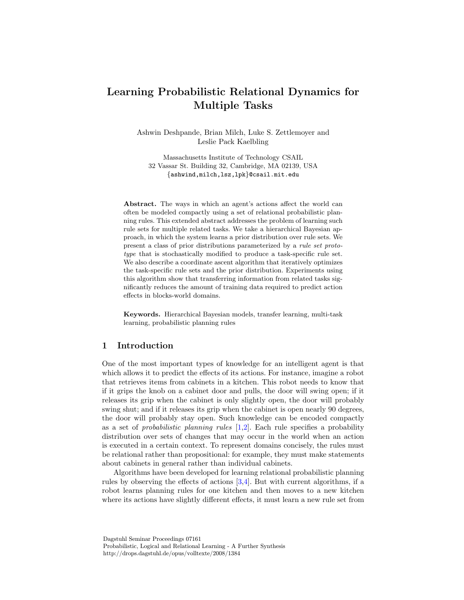# Learning Probabilistic Relational Dynamics for Multiple Tasks

Ashwin Deshpande, Brian Milch, Luke S. Zettlemoyer and Leslie Pack Kaelbling

Massachusetts Institute of Technology CSAIL 32 Vassar St. Building 32, Cambridge, MA 02139, USA {ashwind,milch,lsz,lpk}@csail.mit.edu

Abstract. The ways in which an agent's actions affect the world can often be modeled compactly using a set of relational probabilistic planning rules. This extended abstract addresses the problem of learning such rule sets for multiple related tasks. We take a hierarchical Bayesian approach, in which the system learns a prior distribution over rule sets. We present a class of prior distributions parameterized by a rule set prototype that is stochastically modified to produce a task-specific rule set. We also describe a coordinate ascent algorithm that iteratively optimizes the task-specific rule sets and the prior distribution. Experiments using this algorithm show that transferring information from related tasks significantly reduces the amount of training data required to predict action effects in blocks-world domains.

Keywords. Hierarchical Bayesian models, transfer learning, multi-task learning, probabilistic planning rules

# 1 Introduction

One of the most important types of knowledge for an intelligent agent is that which allows it to predict the effects of its actions. For instance, imagine a robot that retrieves items from cabinets in a kitchen. This robot needs to know that if it grips the knob on a cabinet door and pulls, the door will swing open; if it releases its grip when the cabinet is only slightly open, the door will probably swing shut; and if it releases its grip when the cabinet is open nearly 90 degrees, the door will probably stay open. Such knowledge can be encoded compactly as a set of *probabilistic planning rules*  $[1,2]$  $[1,2]$ . Each rule specifies a probability distribution over sets of changes that may occur in the world when an action is executed in a certain context. To represent domains concisely, the rules must be relational rather than propositional: for example, they must make statements about cabinets in general rather than individual cabinets.

Algorithms have been developed for learning relational probabilistic planning rules by observing the effects of actions [\[3,](#page-9-2)[4\]](#page-9-3). But with current algorithms, if a robot learns planning rules for one kitchen and then moves to a new kitchen where its actions have slightly different effects, it must learn a new rule set from

Dagstuhl Seminar Proceedings 07161 Probabilistic, Logical and Relational Learning - A Further Synthesis http://drops.dagstuhl.de/opus/volltexte/2008/1384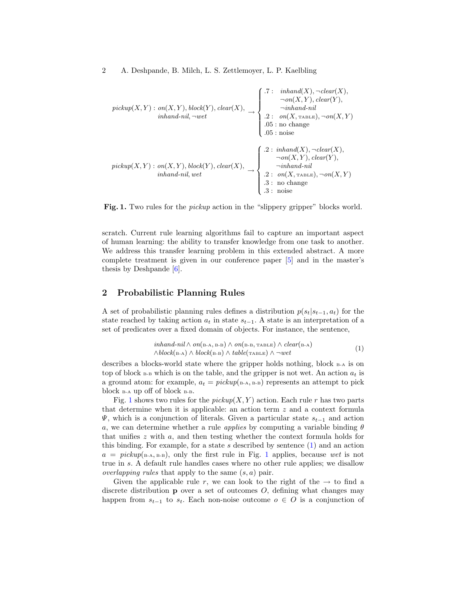pickup(X, Y ) : on(X, Y ), block(Y ), clear(X), inhand-nil, <sup>¬</sup>wet <sup>→</sup> .7 : inhand(X), ¬clear(X), ¬on(X, Y ), clear(Y ), ¬inhand-nil .2 : on(X, TABLE), ¬on(X, Y ) .05 : no change .05 : noise pickup(X, Y ) : on(X, Y ), block(Y ), clear(X), inhand-nil, wet <sup>→</sup> .2 : inhand(X), ¬clear(X), ¬on(X, Y ), clear(Y ), ¬inhand-nil .2 : on(X, TABLE), ¬on(X, Y ) .3 : no change .3 : noise

<span id="page-1-0"></span>Fig. 1. Two rules for the *pickup* action in the "slippery gripper" blocks world.

scratch. Current rule learning algorithms fail to capture an important aspect of human learning: the ability to transfer knowledge from one task to another. We address this transfer learning problem in this extended abstract. A more complete treatment is given in our conference paper [\[5\]](#page-9-4) and in the master's thesis by Deshpande [\[6\]](#page-9-5).

# <span id="page-1-2"></span>2 Probabilistic Planning Rules

A set of probabilistic planning rules defines a distribution  $p(s_t|s_{t-1}, a_t)$  for the state reached by taking action  $a_t$  in state  $s_{t-1}$ . A state is an interpretation of a set of predicates over a fixed domain of objects. For instance, the sentence,

<span id="page-1-1"></span>
$$
in hand-nil \wedge on(\text{B-A}, \text{B-B}) \wedge on(\text{B-B}, \text{TABLE}) \wedge clear(\text{B-A})
$$
  
\wedge block(\text{B-A}) \wedge block(\text{B-B}) \wedge table(\text{TABLE}) \wedge \neg wet (1)

describes a blocks-world state where the gripper holds nothing, block  $B-A$  is on top of block  $B-B$  which is on the table, and the gripper is not wet. An action  $a_t$  is a ground atom: for example,  $a_t = pickup(s.A, B-B)$  represents an attempt to pick block B-A up off of block B-B.

Fig. [1](#page-1-0) shows two rules for the  $\text{pickup}(X, Y)$  action. Each rule r has two parts that determine when it is applicable: an action term z and a context formula  $\Psi$ , which is a conjunction of literals. Given a particular state  $s_{t-1}$  and action a, we can determine whether a rule *applies* by computing a variable binding  $\theta$ that unifies  $z$  with  $a$ , and then testing whether the context formula holds for this binding. For example, for a state s described by sentence  $(1)$  and an action  $a = pickup<sub>(B-A, B-B)</sub>$ , only the first rule in Fig. [1](#page-1-0) applies, because wet is not true in s. A default rule handles cases where no other rule applies; we disallow *overlapping rules* that apply to the same  $(s, a)$  pair.

Given the applicable rule r, we can look to the right of the  $\rightarrow$  to find a discrete distribution  $\bf{p}$  over a set of outcomes  $O$ , defining what changes may happen from  $s_{t-1}$  to  $s_t$ . Each non-noise outcome  $o \in O$  is a conjunction of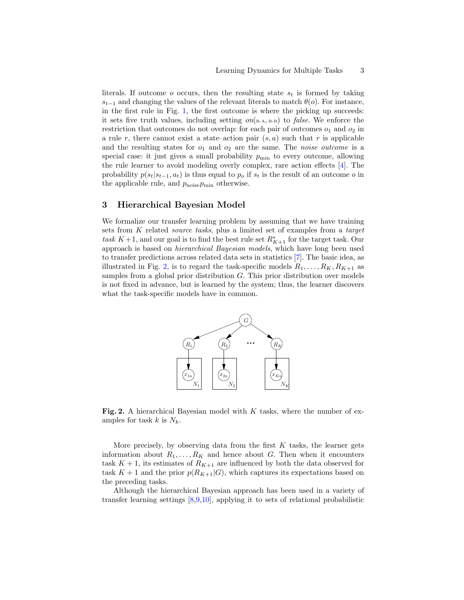literals. If outcome o occurs, then the resulting state  $s_t$  is formed by taking  $s_{t-1}$  and changing the values of the relevant literals to match  $\theta$ (o). For instance, in the first rule in Fig. [1,](#page-1-0) the first outcome is where the picking up succeeds: it sets five truth values, including setting  $on(\text{B-A}, \text{B-B})$  to *false*. We enforce the restriction that outcomes do not overlap: for each pair of outcomes  $o_1$  and  $o_2$  in a rule r, there cannot exist a state–action pair  $(s, a)$  such that r is applicable and the resulting states for  $o_1$  and  $o_2$  are the same. The *noise outcome* is a special case: it just gives a small probability  $p_{\min}$  to every outcome, allowing the rule learner to avoid modeling overly complex, rare action effects [\[4\]](#page-9-3). The probability  $p(s_t|s_{t-1}, a_t)$  is thus equal to  $p_o$  if  $s_t$  is the result of an outcome o in the applicable rule, and  $p_{\text{noise}}p_{\text{min}}$  otherwise.

## 3 Hierarchical Bayesian Model

We formalize our transfer learning problem by assuming that we have training sets from K related *source tasks*, plus a limited set of examples from a *target* task K + 1, and our goal is to find the best rule set  $R_{K+1}^*$  for the target task. Our approach is based on hierarchical Bayesian models, which have long been used to transfer predictions across related data sets in statistics [\[7\]](#page-9-6). The basic idea, as illustrated in Fig. [2,](#page-2-0) is to regard the task-specific models  $R_1, \ldots, R_K, R_{K+1}$  as samples from a global prior distribution G. This prior distribution over models is not fixed in advance, but is learned by the system; thus, the learner discovers what the task-specific models have in common.



<span id="page-2-0"></span>Fig. 2. A hierarchical Bayesian model with  $K$  tasks, where the number of examples for task k is  $N_k$ .

More precisely, by observing data from the first  $K$  tasks, the learner gets information about  $R_1, \ldots, R_K$  and hence about G. Then when it encounters task  $K + 1$ , its estimates of  $R_{K+1}$  are influenced by both the data observed for task  $K + 1$  and the prior  $p(R_{K+1}|G)$ , which captures its expectations based on the preceding tasks.

Although the hierarchical Bayesian approach has been used in a variety of transfer learning settings [\[8,](#page-9-7)[9,](#page-9-8)[10\]](#page-9-9), applying it to sets of relational probabilistic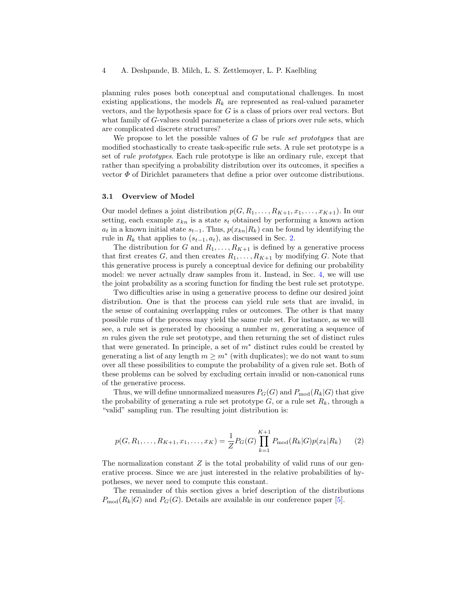### 4 A. Deshpande, B. Milch, L. S. Zettlemoyer, L. P. Kaelbling

planning rules poses both conceptual and computational challenges. In most existing applications, the models  $R_k$  are represented as real-valued parameter vectors, and the hypothesis space for  $G$  is a class of priors over real vectors. But what family of G-values could parameterize a class of priors over rule sets, which are complicated discrete structures?

We propose to let the possible values of  $G$  be *rule set prototypes* that are modified stochastically to create task-specific rule sets. A rule set prototype is a set of rule prototypes. Each rule prototype is like an ordinary rule, except that rather than specifying a probability distribution over its outcomes, it specifies a vector  $\Phi$  of Dirichlet parameters that define a prior over outcome distributions.

## 3.1 Overview of Model

Our model defines a joint distribution  $p(G, R_1, \ldots, R_{K+1}, x_1, \ldots, x_{K+1})$ . In our setting, each example  $x_{kn}$  is a state  $s_t$  obtained by performing a known action  $a_t$  in a known initial state  $s_{t-1}$ . Thus,  $p(x_{kn}|R_k)$  can be found by identifying the rule in  $R_k$  that applies to  $(s_{t-1}, a_t)$ , as discussed in Sec. [2.](#page-1-2)

The distribution for G and  $R_1, \ldots, R_{K+1}$  is defined by a generative process that first creates G, and then creates  $R_1, \ldots, R_{K+1}$  by modifying G. Note that this generative process is purely a conceptual device for defining our probability model: we never actually draw samples from it. Instead, in Sec. [4,](#page-5-0) we will use the joint probability as a scoring function for finding the best rule set prototype.

Two difficulties arise in using a generative process to define our desired joint distribution. One is that the process can yield rule sets that are invalid, in the sense of containing overlapping rules or outcomes. The other is that many possible runs of the process may yield the same rule set. For instance, as we will see, a rule set is generated by choosing a number  $m$ , generating a sequence of m rules given the rule set prototype, and then returning the set of distinct rules that were generated. In principle, a set of  $m^*$  distinct rules could be created by generating a list of any length  $m \geq m^*$  (with duplicates); we do not want to sum over all these possibilities to compute the probability of a given rule set. Both of these problems can be solved by excluding certain invalid or non-canonical runs of the generative process.

Thus, we will define unnormalized measures  $P_G(G)$  and  $P_{mod}(R_k|G)$  that give the probability of generating a rule set prototype  $G$ , or a rule set  $R_k$ , through a "valid" sampling run. The resulting joint distribution is:

<span id="page-3-0"></span>
$$
p(G, R_1, \dots, R_{K+1}, x_1, \dots, x_K) = \frac{1}{Z} P_G(G) \prod_{k=1}^{K+1} P_{\text{mod}}(R_k | G) p(x_k | R_k)
$$
(2)

The normalization constant  $Z$  is the total probability of valid runs of our generative process. Since we are just interested in the relative probabilities of hypotheses, we never need to compute this constant.

The remainder of this section gives a brief description of the distributions  $P_{\text{mod}}(R_k|G)$  and  $P_G(G)$ . Details are available in our conference paper [\[5\]](#page-9-4).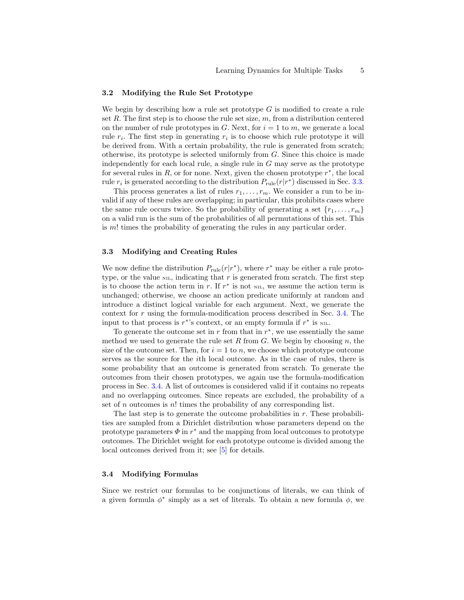#### 3.2 Modifying the Rule Set Prototype

We begin by describing how a rule set prototype  $G$  is modified to create a rule set  $R$ . The first step is to choose the rule set size,  $m$ , from a distribution centered on the number of rule prototypes in G. Next, for  $i = 1$  to m, we generate a local rule  $r_i$ . The first step in generating  $r_i$  is to choose which rule prototype it will be derived from. With a certain probability, the rule is generated from scratch; otherwise, its prototype is selected uniformly from  $G$ . Since this choice is made independently for each local rule, a single rule in  $G$  may serve as the prototype for several rules in  $R$ , or for none. Next, given the chosen prototype  $r^*$ , the local rule  $r_i$  is generated according to the distribution  $P_{\text{rule}}(r|r^*)$  discussed in Sec. [3.3.](#page-4-0)

This process generates a list of rules  $r_1, \ldots, r_m$ . We consider a run to be invalid if any of these rules are overlapping; in particular, this prohibits cases where the same rule occurs twice. So the probability of generating a set  $\{r_1, \ldots, r_m\}$ on a valid run is the sum of the probabilities of all permutations of this set. This is m! times the probability of generating the rules in any particular order.

#### <span id="page-4-0"></span>3.3 Modifying and Creating Rules

We now define the distribution  $P_{\text{rule}}(r|r^*)$ , where  $r^*$  may be either a rule prototype, or the value  $_{\text{NIL}}$ , indicating that r is generated from scratch. The first step is to choose the action term in r. If  $r^*$  is not  $\overline{N}_{\text{HL}}$ , we assume the action term is unchanged; otherwise, we choose an action predicate uniformly at random and introduce a distinct logical variable for each argument. Next, we generate the context for r using the formula-modification process described in Sec. [3.4.](#page-4-1) The input to that process is  $r^*$ 's context, or an empty formula if  $r^*$  is  $\text{NIL}$ .

To generate the outcome set in  $r$  from that in  $r^*$ , we use essentially the same method we used to generate the rule set R from  $G$ . We begin by choosing  $n$ , the size of the outcome set. Then, for  $i = 1$  to n, we choose which prototype outcome serves as the source for the ith local outcome. As in the case of rules, there is some probability that an outcome is generated from scratch. To generate the outcomes from their chosen prototypes, we again use the formula-modification process in Sec. [3.4.](#page-4-1) A list of outcomes is considered valid if it contains no repeats and no overlapping outcomes. Since repeats are excluded, the probability of a set of  $n$  outcomes is  $n!$  times the probability of any corresponding list.

The last step is to generate the outcome probabilities in  $r$ . These probabilities are sampled from a Dirichlet distribution whose parameters depend on the prototype parameters  $\Phi$  in  $r^*$  and the mapping from local outcomes to prototype outcomes. The Dirichlet weight for each prototype outcome is divided among the local outcomes derived from it; see [\[5\]](#page-9-4) for details.

### <span id="page-4-1"></span>3.4 Modifying Formulas

Since we restrict our formulas to be conjunctions of literals, we can think of a given formula  $\phi^*$  simply as a set of literals. To obtain a new formula  $\phi$ , we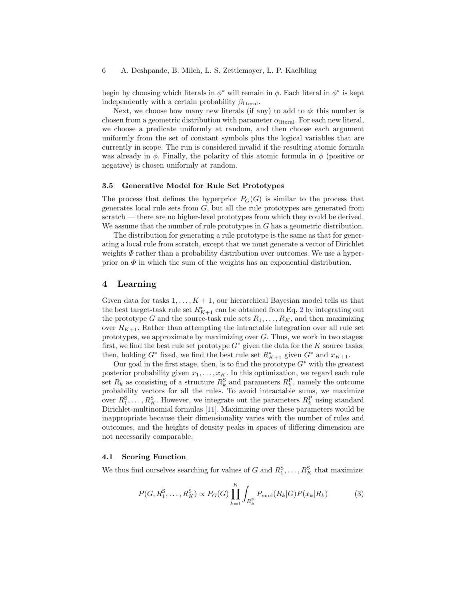### 6 A. Deshpande, B. Milch, L. S. Zettlemoyer, L. P. Kaelbling

begin by choosing which literals in  $\phi^*$  will remain in  $\phi$ . Each literal in  $\phi^*$  is kept independently with a certain probability  $\beta_{\text{literal}}$ .

Next, we choose how many new literals (if any) to add to  $\phi$ : this number is chosen from a geometric distribution with parameter  $\alpha$ <sub>literal</sub>. For each new literal, we choose a predicate uniformly at random, and then choose each argument uniformly from the set of constant symbols plus the logical variables that are currently in scope. The run is considered invalid if the resulting atomic formula was already in  $\phi$ . Finally, the polarity of this atomic formula in  $\phi$  (positive or negative) is chosen uniformly at random.

# 3.5 Generative Model for Rule Set Prototypes

The process that defines the hyperprior  $P_G(G)$  is similar to the process that generates local rule sets from  $G$ , but all the rule prototypes are generated from scratch — there are no higher-level prototypes from which they could be derived. We assume that the number of rule prototypes in  $G$  has a geometric distribution.

The distribution for generating a rule prototype is the same as that for generating a local rule from scratch, except that we must generate a vector of Dirichlet weights  $\Phi$  rather than a probability distribution over outcomes. We use a hyperprior on  $\Phi$  in which the sum of the weights has an exponential distribution.

## <span id="page-5-0"></span>4 Learning

Given data for tasks  $1, \ldots, K + 1$ , our hierarchical Bayesian model tells us that the best target-task rule set  $R_{K+1}^*$  can be obtained from Eq. [2](#page-3-0) by integrating out the prototype G and the source-task rule sets  $R_1, \ldots, R_K$ , and then maximizing over  $R_{K+1}$ . Rather than attempting the intractable integration over all rule set prototypes, we approximate by maximizing over  $G$ . Thus, we work in two stages: first, we find the best rule set prototype  $G^*$  given the data for the K source tasks; then, holding  $G^*$  fixed, we find the best rule set  $R^*_{K+1}$  given  $G^*$  and  $x_{K+1}$ .

Our goal in the first stage, then, is to find the prototype  $G^*$  with the greatest posterior probability given  $x_1, \ldots, x_K$ . In this optimization, we regard each rule set  $R_k$  as consisting of a structure  $R_k^S$  and parameters  $R_k^P$ , namely the outcome probability vectors for all the rules. To avoid intractable sums, we maximize over  $R_1^S, \ldots, R_K^S$ . However, we integrate out the parameters  $R_k^P$  using standard Dirichlet-multinomial formulas [\[11\]](#page-9-10). Maximizing over these parameters would be inappropriate because their dimensionality varies with the number of rules and outcomes, and the heights of density peaks in spaces of differing dimension are not necessarily comparable.

## 4.1 Scoring Function

We thus find ourselves searching for values of G and  $R_1^S, \ldots, R_K^S$  that maximize:

<span id="page-5-1"></span>
$$
P(G, R_1^S, \dots, R_K^S) \propto P_G(G) \prod_{k=1}^K \int_{R_k^P} P_{\text{mod}}(R_k|G) P(x_k|R_k)
$$
(3)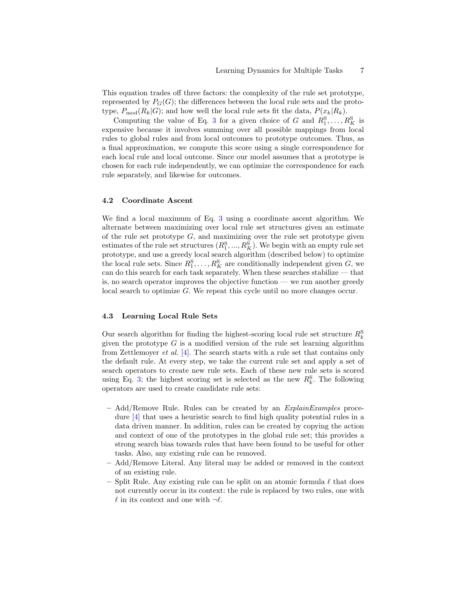This equation trades off three factors: the complexity of the rule set prototype, represented by  $P_G(G)$ ; the differences between the local rule sets and the prototype,  $P_{\text{mod}}(R_k|G)$ ; and how well the local rule sets fit the data,  $P(x_k|R_k)$ .

Computing the value of Eq. [3](#page-5-1) for a given choice of G and  $R_1^S, \ldots, R_K^S$  is expensive because it involves summing over all possible mappings from local rules to global rules and from local outcomes to prototype outcomes. Thus, as a final approximation, we compute this score using a single correspondence for each local rule and local outcome. Since our model assumes that a prototype is chosen for each rule independently, we can optimize the correspondence for each rule separately, and likewise for outcomes.

## 4.2 Coordinate Ascent

We find a local maximum of Eq. [3](#page-5-1) using a coordinate ascent algorithm. We alternate between maximizing over local rule set structures given an estimate of the rule set prototype  $G$ , and maximizing over the rule set prototype given estimates of the rule set structures  $(R_1^S, ..., R_K^S)$ . We begin with an empty rule set prototype, and use a greedy local search algorithm (described below) to optimize the local rule sets. Since  $R_1^S, \ldots, R_K^S$  are conditionally independent given  $G$ , we can do this search for each task separately. When these searches stabilize — that is, no search operator improves the objective function — we run another greedy local search to optimize G. We repeat this cycle until no more changes occur.

### <span id="page-6-0"></span>4.3 Learning Local Rule Sets

Our search algorithm for finding the highest-scoring local rule set structure  $R_k^{\rm S}$ given the prototype  $G$  is a modified version of the rule set learning algorithm from Zettlemoyer *et al.* [\[4\]](#page-9-3). The search starts with a rule set that contains only the default rule. At every step, we take the current rule set and apply a set of search operators to create new rule sets. Each of these new rule sets is scored using Eq. [3;](#page-5-1) the highest scoring set is selected as the new  $R_k^S$ . The following operators are used to create candidate rule sets:

- $-$  Add/Remove Rule. Rules can be created by an  $Explain Examples$  procedure [\[4\]](#page-9-3) that uses a heuristic search to find high quality potential rules in a data driven manner. In addition, rules can be created by copying the action and context of one of the prototypes in the global rule set; this provides a strong search bias towards rules that have been found to be useful for other tasks. Also, any existing rule can be removed.
- Add/Remove Literal. Any literal may be added or removed in the context of an existing rule.
- Split Rule. Any existing rule can be split on an atomic formula  $\ell$  that does not currently occur in its context: the rule is replaced by two rules, one with  $\ell$  in its context and one with  $\neg \ell$ .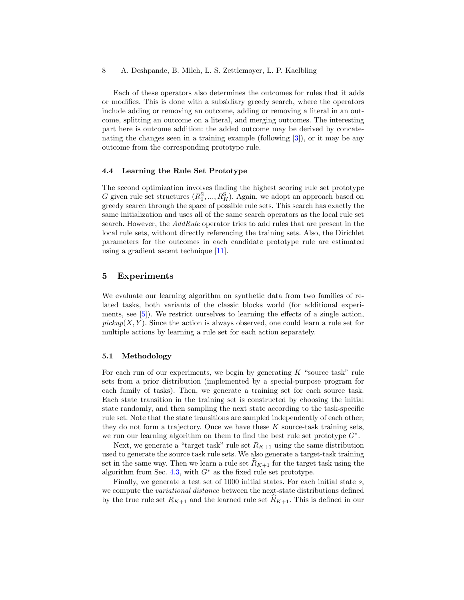Each of these operators also determines the outcomes for rules that it adds or modifies. This is done with a subsidiary greedy search, where the operators include adding or removing an outcome, adding or removing a literal in an outcome, splitting an outcome on a literal, and merging outcomes. The interesting part here is outcome addition: the added outcome may be derived by concatenating the changes seen in a training example (following [\[3\]](#page-9-2)), or it may be any outcome from the corresponding prototype rule.

#### 4.4 Learning the Rule Set Prototype

The second optimization involves finding the highest scoring rule set prototype G given rule set structures  $(R_1^{\rm S},...,R_K^{\rm S})$ . Again, we adopt an approach based on greedy search through the space of possible rule sets. This search has exactly the same initialization and uses all of the same search operators as the local rule set search. However, the AddRule operator tries to add rules that are present in the local rule sets, without directly referencing the training sets. Also, the Dirichlet parameters for the outcomes in each candidate prototype rule are estimated using a gradient ascent technique [\[11\]](#page-9-10).

## 5 Experiments

We evaluate our learning algorithm on synthetic data from two families of related tasks, both variants of the classic blocks world (for additional experiments, see [\[5\]](#page-9-4)). We restrict ourselves to learning the effects of a single action,  $pickup(X, Y)$ . Since the action is always observed, one could learn a rule set for multiple actions by learning a rule set for each action separately.

#### 5.1 Methodology

For each run of our experiments, we begin by generating  $K$  "source task" rule sets from a prior distribution (implemented by a special-purpose program for each family of tasks). Then, we generate a training set for each source task. Each state transition in the training set is constructed by choosing the initial state randomly, and then sampling the next state according to the task-specific rule set. Note that the state transitions are sampled independently of each other; they do not form a trajectory. Once we have these  $K$  source-task training sets, we run our learning algorithm on them to find the best rule set prototype  $G^*$ .

Next, we generate a "target task" rule set  $R_{K+1}$  using the same distribution used to generate the source task rule sets. We also generate a target-task training set in the same way. Then we learn a rule set  $R_{K+1}$  for the target task using the algorithm from Sec. [4.3,](#page-6-0) with  $G^*$  as the fixed rule set prototype.

Finally, we generate a test set of 1000 initial states. For each initial state s, we compute the variational distance between the next-state distributions defined by the true rule set  $R_{K+1}$  and the learned rule set  $R_{K+1}$ . This is defined in our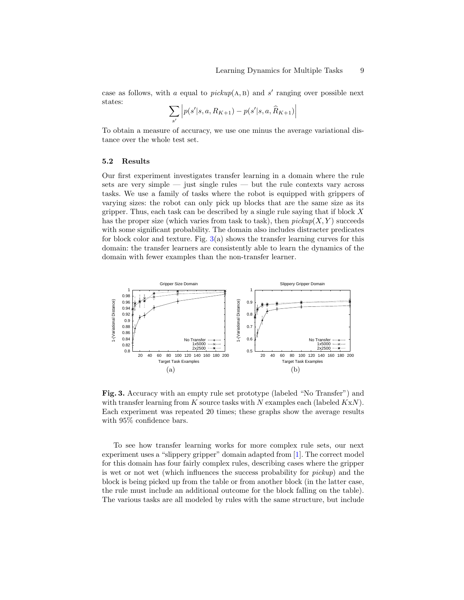case as follows, with a equal to  $pickup(A, B)$  and s' ranging over possible next states:

$$
\sum_{s'} \left| p(s'|s, a, R_{K+1}) - p(s'|s, a, \widehat{R}_{K+1}) \right|
$$

To obtain a measure of accuracy, we use one minus the average variational distance over the whole test set.

## 5.2 Results

Our first experiment investigates transfer learning in a domain where the rule sets are very simple  $-$  just single rules  $-$  but the rule contexts vary across tasks. We use a family of tasks where the robot is equipped with grippers of varying sizes: the robot can only pick up blocks that are the same size as its gripper. Thus, each task can be described by a single rule saying that if block  $X$ has the proper size (which varies from task to task), then  $pickup(X, Y)$  succeeds with some significant probability. The domain also includes distracter predicates for block color and texture. Fig.  $3(a)$  $3(a)$  shows the transfer learning curves for this domain: the transfer learners are consistently able to learn the dynamics of the domain with fewer examples than the non-transfer learner.



<span id="page-8-0"></span>Fig. 3. Accuracy with an empty rule set prototype (labeled "No Transfer") and with transfer learning from  $K$  source tasks with  $N$  examples each (labeled  $KxN$ ). Each experiment was repeated 20 times; these graphs show the average results with 95% confidence bars.

To see how transfer learning works for more complex rule sets, our next experiment uses a "slippery gripper" domain adapted from [\[1\]](#page-9-0). The correct model for this domain has four fairly complex rules, describing cases where the gripper is wet or not wet (which influences the success probability for pickup) and the block is being picked up from the table or from another block (in the latter case, the rule must include an additional outcome for the block falling on the table). The various tasks are all modeled by rules with the same structure, but include